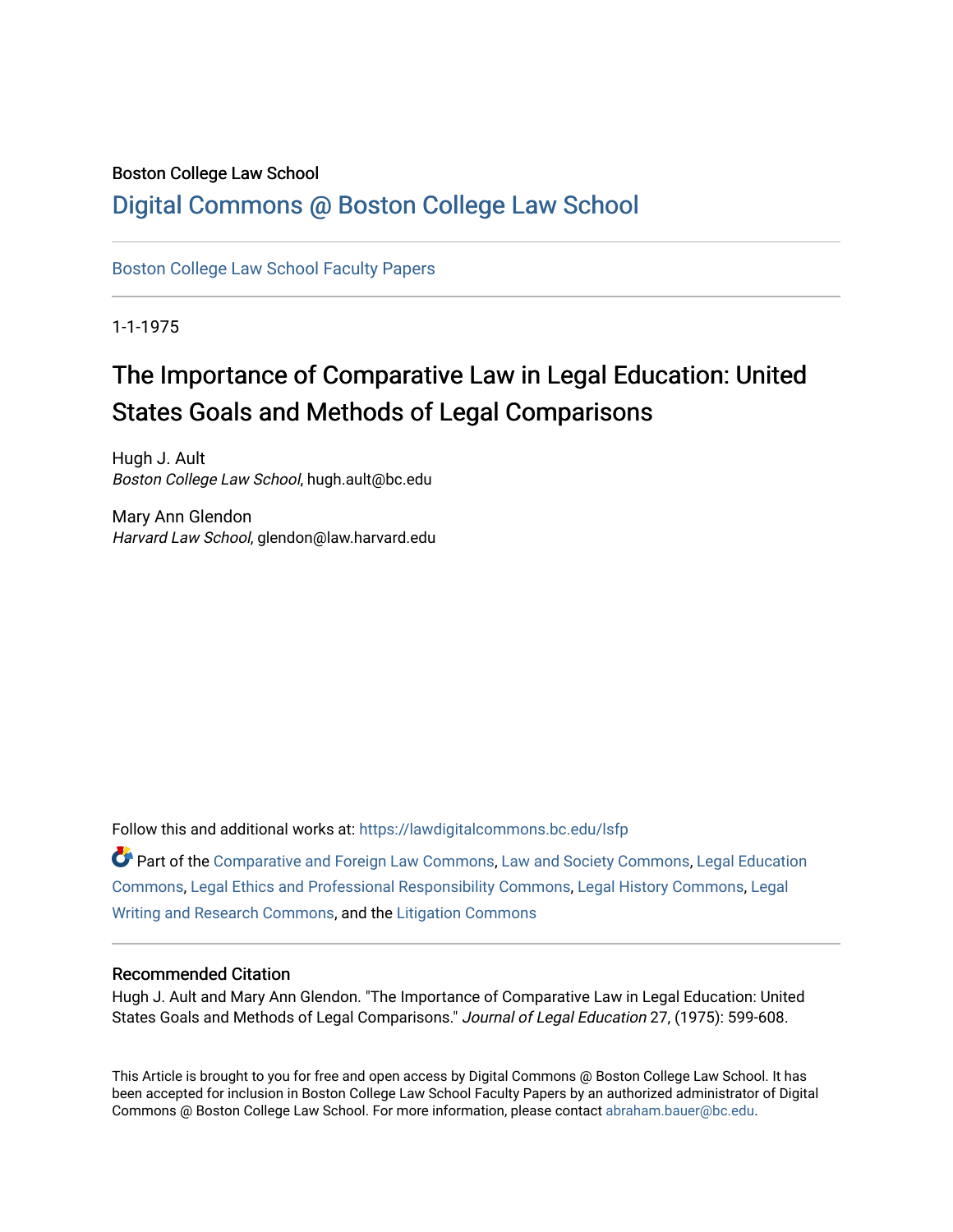## Boston College Law School

# [Digital Commons @ Boston College Law School](https://lawdigitalcommons.bc.edu/)

[Boston College Law School Faculty Papers](https://lawdigitalcommons.bc.edu/lsfp) 

1-1-1975

# The Importance of Comparative Law in Legal Education: United States Goals and Methods of Legal Comparisons

Hugh J. Ault Boston College Law School, hugh.ault@bc.edu

Mary Ann Glendon Harvard Law School, glendon@law.harvard.edu

Follow this and additional works at: [https://lawdigitalcommons.bc.edu/lsfp](https://lawdigitalcommons.bc.edu/lsfp?utm_source=lawdigitalcommons.bc.edu%2Flsfp%2F77&utm_medium=PDF&utm_campaign=PDFCoverPages) 

Part of the [Comparative and Foreign Law Commons,](http://network.bepress.com/hgg/discipline/836?utm_source=lawdigitalcommons.bc.edu%2Flsfp%2F77&utm_medium=PDF&utm_campaign=PDFCoverPages) [Law and Society Commons](http://network.bepress.com/hgg/discipline/853?utm_source=lawdigitalcommons.bc.edu%2Flsfp%2F77&utm_medium=PDF&utm_campaign=PDFCoverPages), [Legal Education](http://network.bepress.com/hgg/discipline/857?utm_source=lawdigitalcommons.bc.edu%2Flsfp%2F77&utm_medium=PDF&utm_campaign=PDFCoverPages)  [Commons](http://network.bepress.com/hgg/discipline/857?utm_source=lawdigitalcommons.bc.edu%2Flsfp%2F77&utm_medium=PDF&utm_campaign=PDFCoverPages), [Legal Ethics and Professional Responsibility Commons,](http://network.bepress.com/hgg/discipline/895?utm_source=lawdigitalcommons.bc.edu%2Flsfp%2F77&utm_medium=PDF&utm_campaign=PDFCoverPages) [Legal History Commons](http://network.bepress.com/hgg/discipline/904?utm_source=lawdigitalcommons.bc.edu%2Flsfp%2F77&utm_medium=PDF&utm_campaign=PDFCoverPages), [Legal](http://network.bepress.com/hgg/discipline/614?utm_source=lawdigitalcommons.bc.edu%2Flsfp%2F77&utm_medium=PDF&utm_campaign=PDFCoverPages)  [Writing and Research Commons,](http://network.bepress.com/hgg/discipline/614?utm_source=lawdigitalcommons.bc.edu%2Flsfp%2F77&utm_medium=PDF&utm_campaign=PDFCoverPages) and the [Litigation Commons](http://network.bepress.com/hgg/discipline/910?utm_source=lawdigitalcommons.bc.edu%2Flsfp%2F77&utm_medium=PDF&utm_campaign=PDFCoverPages) 

## Recommended Citation

Hugh J. Ault and Mary Ann Glendon. "The Importance of Comparative Law in Legal Education: United States Goals and Methods of Legal Comparisons." Journal of Legal Education 27, (1975): 599-608.

This Article is brought to you for free and open access by Digital Commons @ Boston College Law School. It has been accepted for inclusion in Boston College Law School Faculty Papers by an authorized administrator of Digital Commons @ Boston College Law School. For more information, please contact [abraham.bauer@bc.edu.](mailto:abraham.bauer@bc.edu)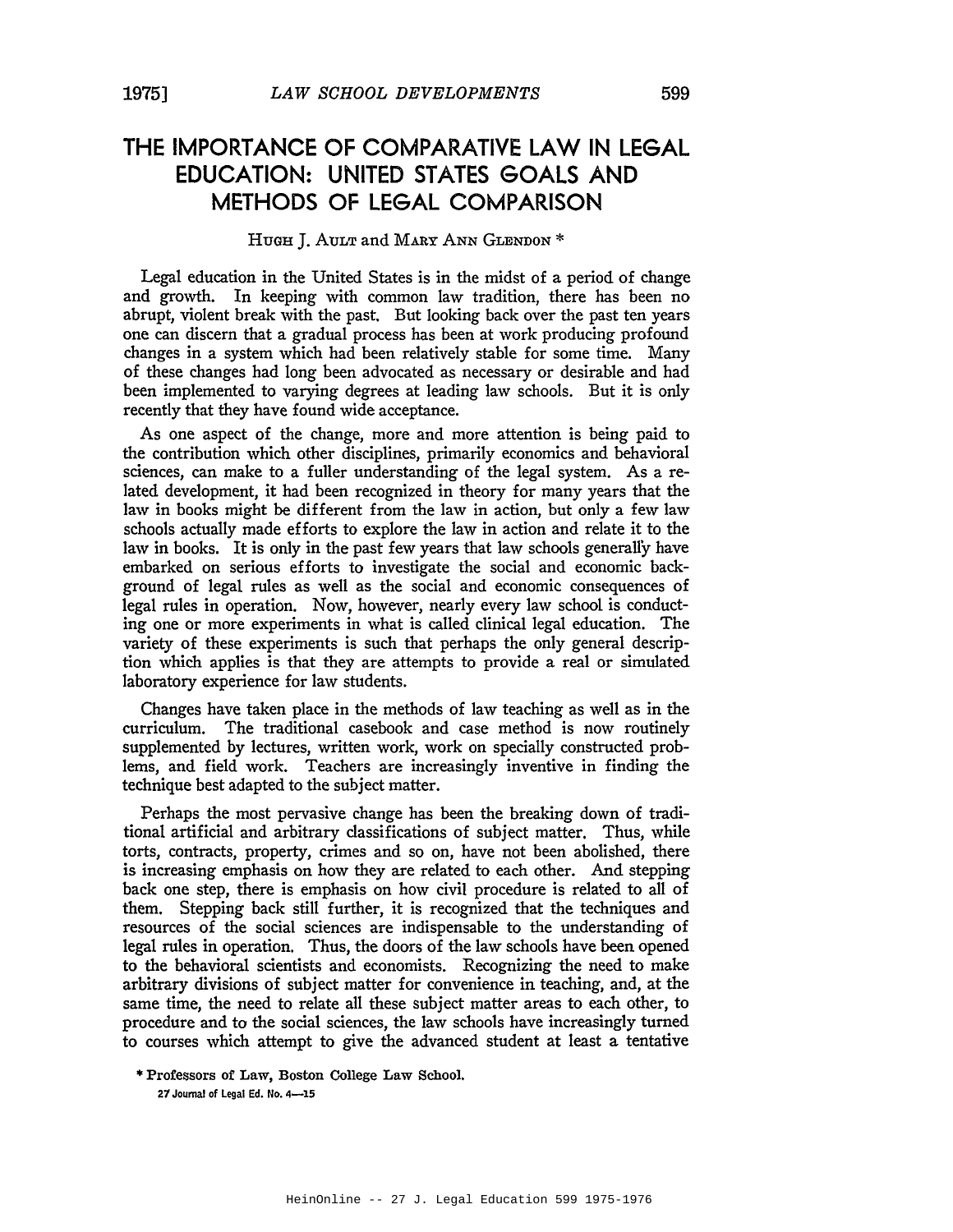# THE IMPORTANCE OF COMPARATIVE LAW IN LEGAL EDUCATION: UNITED STATES GOALS AND **METHODS OF LEGAL COMPARISON**

#### HUGH J. AULT and MARY ANN GLENDON \*

Legal education in the United States is in the midst of a period of change and growth. In keeping with common law tradition, there has been no abrupt, violent break with the past. But looking back over the past ten years one can discern that a gradual process has been at work producing profound changes in a system which had been relatively stable for some time. Many of these changes had long been advocated as necessary or desirable and had been implemented to varying degrees at leading law schools. But it is only recently that they have found wide acceptance.

As one aspect of the change, more and more attention is being paid to the contribution which other disciplines, primarily economics and behavioral sciences, can make to a fuller understanding of the legal system. As a related development, it had been recognized in theory for many years that the law in books might be different from the law in action, but only a few law schools actually made efforts to explore the law in action and relate it to the law in books. It is only in the past few years that law schools generally have embarked on serious efforts to investigate the social and economic background of legal rules as well as the social and economic consequences of legal rules in operation. Now, however, nearly every law school is conducting one or more experiments in what is called clinical legal education. The variety of these experiments is such that perhaps the only general description which applies is that they are attempts to provide a real or simulated laboratory experience for law students.

Changes have taken place in the methods of law teaching as well as in the curriculum. The traditional casebook and case method is now routinely supplemented by lectures, written work, work on specially constructed problems, and field work. Teachers are increasingly inventive in finding the technique best adapted to the subject matter.

Perhaps the most pervasive change has been the breaking down of traditional artificial and arbitrary classifications of subject matter. Thus, while torts, contracts, property, crimes and so on, have not been abolished, there is increasing emphasis on how they are related to each other. And stepping back one step, there is emphasis on how civil procedure is related to all of them. Stepping back still further, it is recognized that the techniques and resources of the social sciences are indispensable to the understanding of legal rules in operation. Thus, the doors of the law schools have been opened to the behavioral scientists and economists. Recognizing the need to make arbitrary divisions of subject matter for convenience in teaching, and, at the same time, the need to relate all these subject matter areas to each other, to procedure and to the social sciences, the law schools have increasingly turned to courses which attempt to give the advanced student at least a tentative

<sup>\*</sup> Professors of Law, Boston College Law School. 27 Journal of Legal Ed. No. 4-15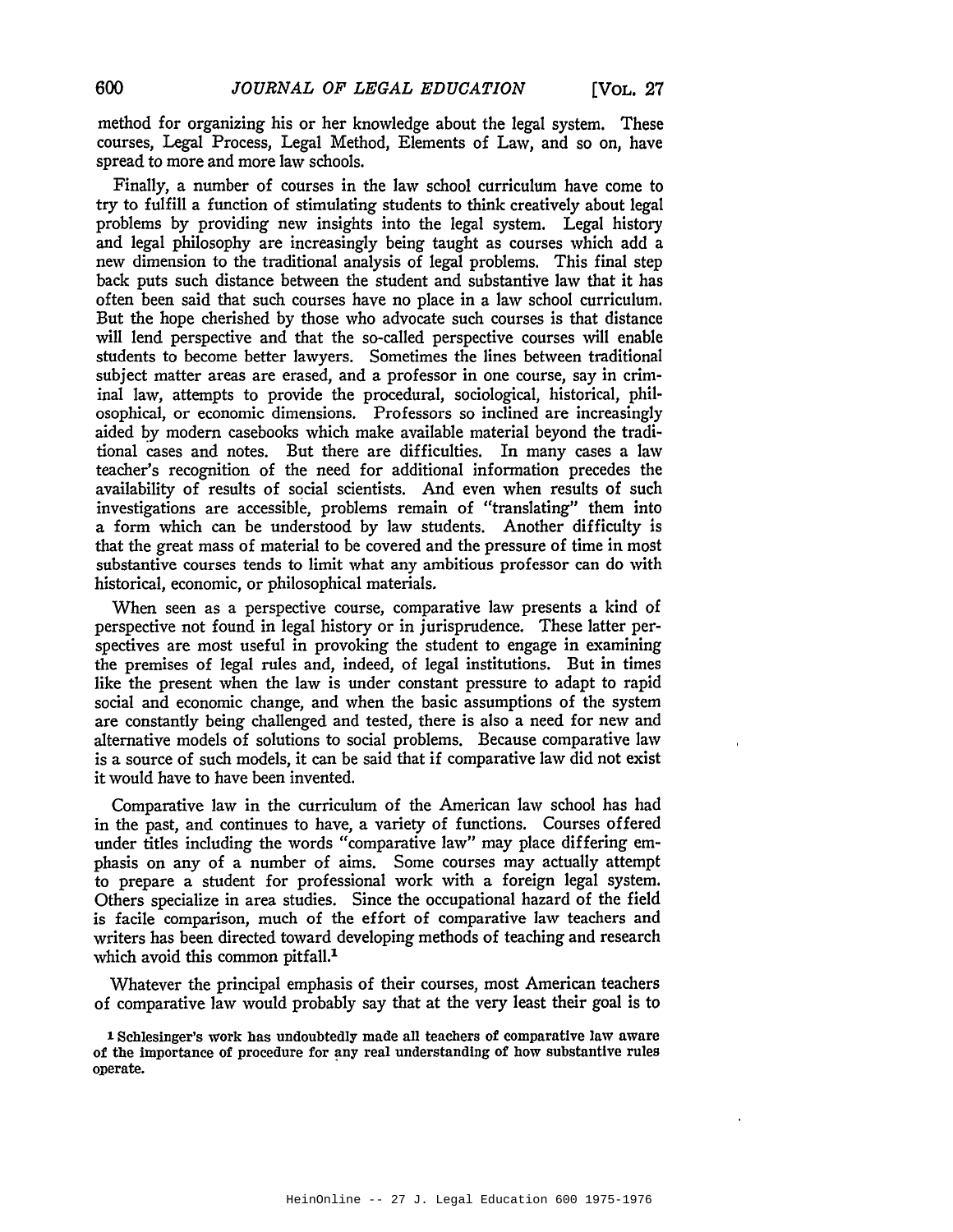method for organizing his or her knowledge about the legal system. These courses, Legal Process, Legal Method, Elements of Law, and so on, have spread to more and more law schools.

Finally, a number of courses in the law school curriculum have come to try to fulfill a function of stimulating students to think creatively about legal problems by providing new insights into the legal system. Legal history and legal philosophy are increasingly being taught as courses which add a new dimension to the traditional analysis of legal problems. This final step back puts such distance between the student and substantive law that it has often been said that such courses have no place in a law school curriculum. But the hope cherished by those who advocate such courses is that distance will lend perspective and that the so-called perspective courses will enable students to become better lawyers. Sometimes the lines between traditional subject matter areas are erased, and a professor in one course, say in criminal law, attempts to provide the procedural, sociological, historical, philosophical, or economic dimensions. Professors so inclined are increasingly aided by modern casebooks which make available material beyond the traditional cases and notes. But there are difficulties. In many cases a law teacher's recognition of the need for additional information precedes the availability of results of social scientists. And even when results of such investigations are accessible, problems remain of "translating" them into a form which can be understood by law students. Another difficulty is that the great mass of material to be covered and the pressure of time in most substantive courses tends to limit what any ambitious professor can do with historical, economic, or philosophical materials.

When seen as a perspective course, comparative law presents a kind of perspective not found in legal history or in jurisprudence. These latter perspectives are most useful in provoking the student to engage in examining the premises of legal rules and, indeed, of legal institutions. But in times like the present when the law is under constant pressure to adapt to rapid social and economic change, and when the basic assumptions of the system are constantly being challenged and tested, there is also a need for new and alternative models of solutions to social problems. Because comparative law is a source of such models, it can be said that if comparative law did not exist it would have to have been invented.

Comparative law in the curriculum of the American law school has had in the past, and continues to have, a variety of functions. Courses offered under titles including the words "comparative law" may place differing emphasis on any of a number of aims. Some courses may actually attempt to prepare a student for professional work with a foreign legal system. Others specialize in area studies. Since the occupational hazard of the field is facile comparison, much of the effort of comparative law teachers and writers has been directed toward developing methods of teaching and research which avoid this common pitfall.<sup>1</sup>

Whatever the principal emphasis of their courses, most American teachers of comparative law would probably say that at the very least their goal is to

<sup>1</sup> Schlesinger's work has undoubtedly made all teachers of comparative law aware of the importance of procedure for any real understanding of how substantive rules operate.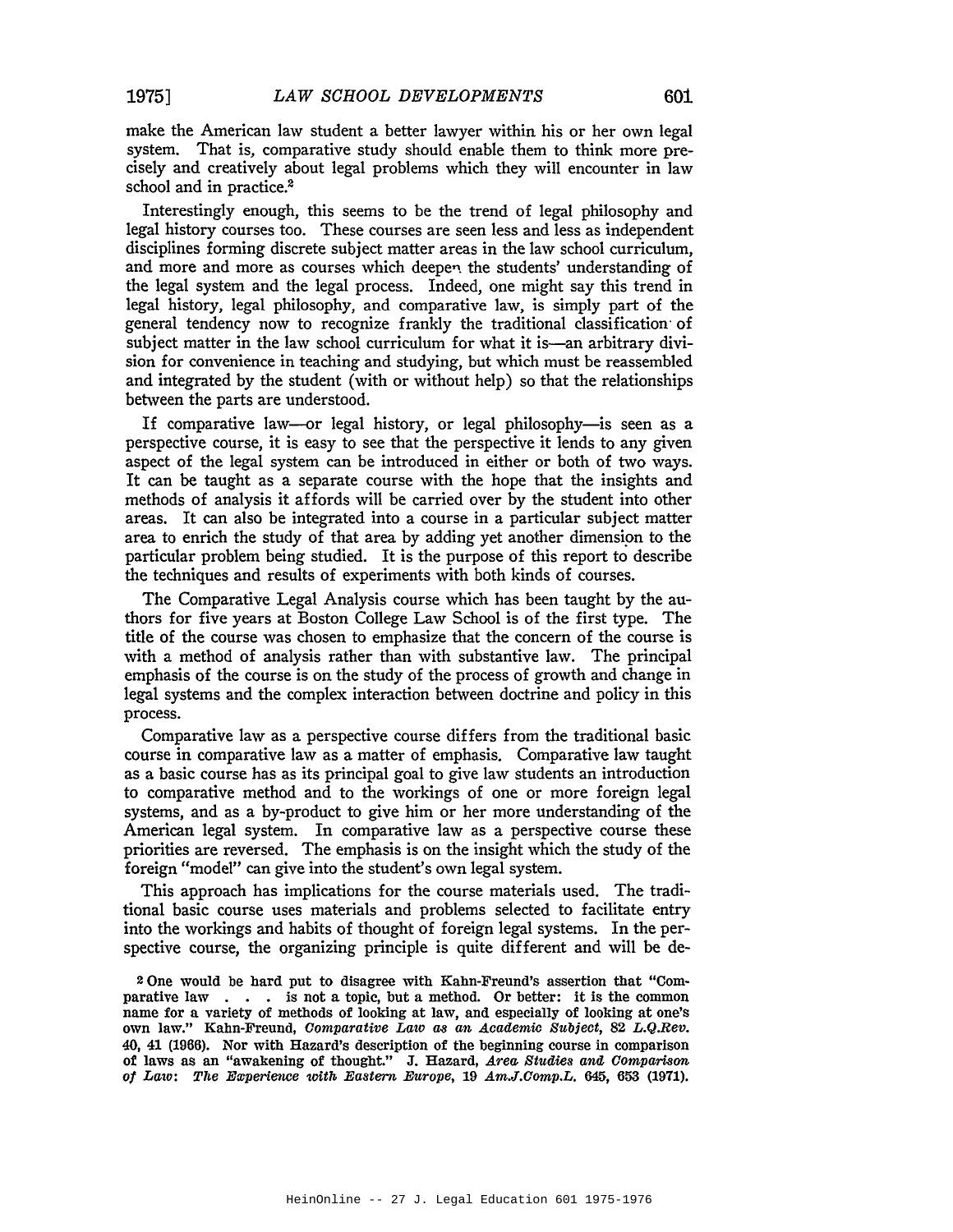make the American law student a better lawyer within his or her own legal system. That is, comparative study should enable them to think more precisely and creatively about legal problems which they will encounter in law school and in practice.<sup>2</sup>

Interestingly enough, this seems to be the trend of legal philosophy and legal history courses too. These courses are seen less and less as independent disciplines forming discrete subject matter areas in the law school curriculum, and more and more as courses which deepen the students' understanding of the legal system and the legal process. Indeed, one might say this trend in legal history, legal philosophy, and comparative law, is simply part of the general tendency now to recognize frankly the traditional classification of subject matter in the law school curriculum for what it is—an arbitrary division for convenience in teaching and studying, but which must be reassembled and integrated by the student (with or without help) so that the relationships between the parts are understood.

If comparative law—or legal history, or legal philosophy—is seen as a perspective course, it is easy to see that the perspective it lends to any given aspect of the legal system can be introduced in either or both of two ways. It can be taught as a separate course with the hope that the insights and methods of analysis it affords will be carried over by the student into other areas. It can also be integrated into a course in a particular subject matter area to enrich the study of that area by adding yet another dimension to the particular problem being studied. It is the purpose of this report to describe the techniques and results of experiments with both kinds of courses.

The Comparative Legal Analysis course which has been taught by the authors for five years at Boston College Law School is of the first type. The title of the course was chosen to emphasize that the concern of the course is with a method of analysis rather than with substantive law. The principal emphasis of the course is on the study of the process of growth and change in legal systems and the complex interaction between doctrine and policy in this process.

Comparative law as a perspective course differs from the traditional basic course in comparative law as a matter of emphasis. Comparative law taught as a basic course has as its principal goal to give law students an introduction to comparative method and to the workings of one or more foreign legal systems, and as a by-product to give him or her more understanding of the American legal system. In comparative law as a perspective course these priorities are reversed. The emphasis is on the insight which the study of the foreign "model" can give into the student's own legal system.

This approach has implications for the course materials used. The traditional basic course uses materials and problems selected to facilitate entry into the workings and habits of thought of foreign legal systems. In the perspective course, the organizing principle is quite different and will be de-

2 One would be hard put to disagree with Kahn-Freund's assertion that "Comparative law . . . is not a topic, but a method. Or better: it is the common name for a variety of methods of looking at law, and especially of looking at one's own law." Kahn-Freund, Comparative Law as an Academic Subject, 82 L.Q.Rev. 40, 41 (1966). Nor with Hazard's description of the beginning course in comparison of laws as an "awakening of thought." J. Hazard, Area Studies and Comparison of Law: The Experience with Eastern Europe, 19 Am.J.Comp.L. 645, 653 (1971).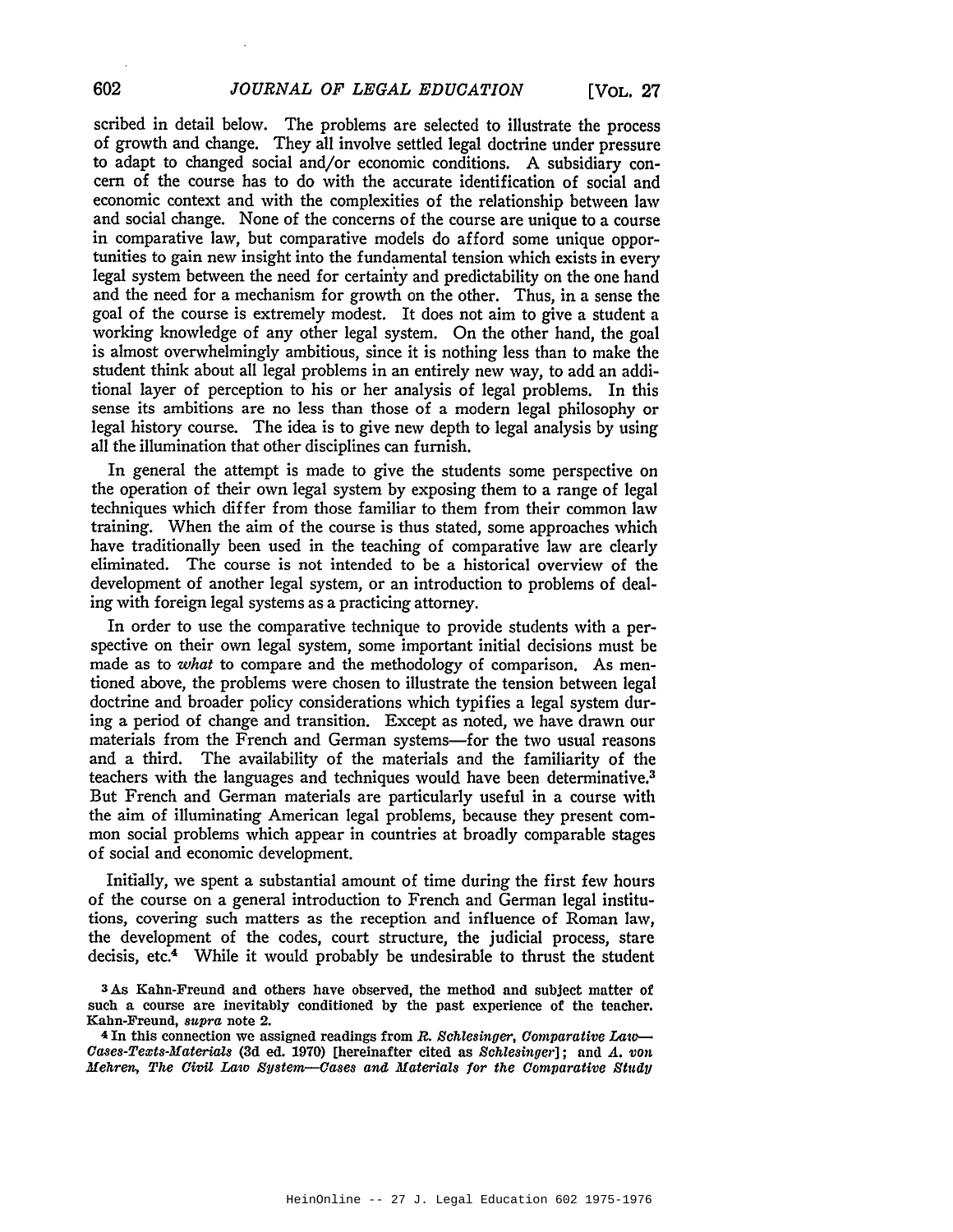scribed in detail below. The problems are selected to illustrate the process of growth and change. They all involve settled legal doctrine under pressure to adapt to changed social and/or economic conditions. A subsidiary concern of the course has to do with the accurate identification of social and economic context and with the complexities of the relationship between law and social change. None of the concerns of the course are unique to a course in comparative law, but comparative models do afford some unique opportunities to gain new insight into the fundamental tension which exists in every legal system between the need for certainty and predictability on the one hand and the need for a mechanism for growth on the other. Thus, in a sense the goal of the course is extremely modest. It does not aim to give a student a working knowledge of any other legal system. On the other hand, the goal is almost overwhelmingly ambitious, since it is nothing less than to make the student think about all legal problems in an entirely new way, to add an additional layer of perception to his or her analysis of legal problems. In this sense its ambitions are no less than those of a modern legal philosophy or legal history course. The idea is to give new depth to legal analysis by using all the illumination that other disciplines can furnish.

In general the attempt is made to give the students some perspective on the operation of their own legal system by exposing them to a range of legal techniques which differ from those familiar to them from their common law training. When the aim of the course is thus stated, some approaches which have traditionally been used in the teaching of comparative law are clearly eliminated. The course is not intended to be a historical overview of the development of another legal system, or an introduction to problems of dealing with foreign legal systems as a practicing attorney.

In order to use the comparative technique to provide students with a perspective on their own legal system, some important initial decisions must be made as to *what* to compare and the methodology of comparison. As mentioned above, the problems were chosen to illustrate the tension between legal doctrine and broader policy considerations which typifies a legal system during a period of change and transition. Except as noted, we have drawn our materials from the French and German systems-for the two usual reasons and a third. The availability of the materials and the familiarity of the teachers with the languages and techniques would have been determinative.<sup>3</sup> But French and German materials are particularly useful in a course with the aim of illuminating American legal problems, because they present common social problems which appear in countries at broadly comparable stages of social and economic development.

Initially, we spent a substantial amount of time during the first few hours of the course on a general introduction to French and German legal institutions, covering such matters as the reception and influence of Roman law, the development of the codes, court structure, the judicial process, stare decisis, etc.<sup>4</sup> While it would probably be undesirable to thrust the student

<sup>3</sup> As Kahn-Freund and others have observed, the method and subject matter of such a course are inevitably conditioned by the past experience of the teacher. Kahn-Freund, supra note 2.

<sup>4</sup> In this connection we assigned readings from R. Schlesinger, Comparative Law-Cases-Texts-Materials (3d ed. 1970) [hereinafter cited as Schlesinger]; and A. von Mehren, The Civil Law System-Cases and Materials for the Comparative Study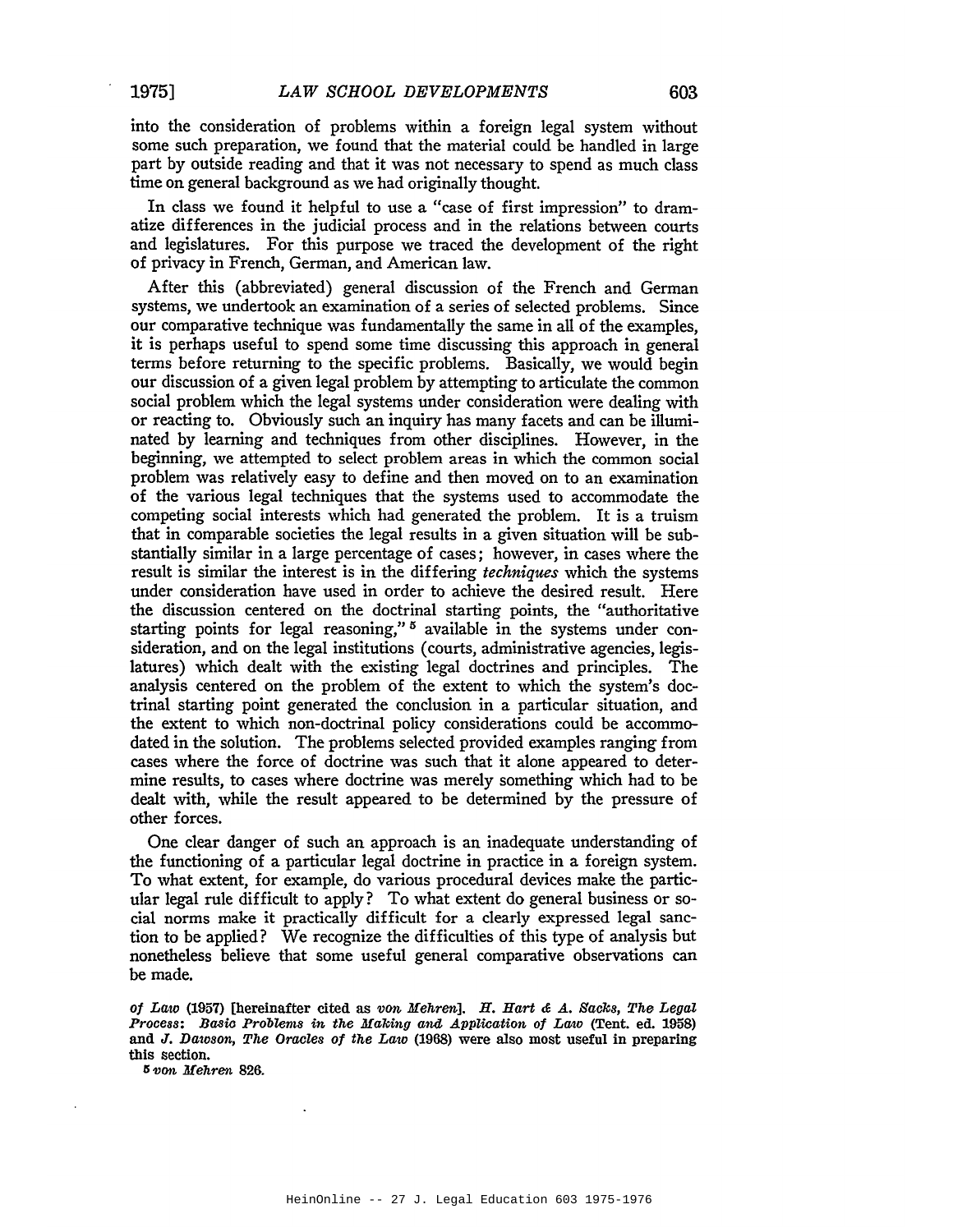into the consideration of problems within a foreign legal system without some such preparation, we found that the material could be handled in large part by outside reading and that it was not necessary to spend as much class time on general background as we had originally thought.

In class we found it helpful to use a "case of first impression" to dramatize differences in the judicial process and in the relations between courts and legislatures. For this purpose we traced the development of the right of privacy in French, German, and American law.

After this (abbreviated) general discussion of the French and German systems, we undertook an examination of a series of selected problems. Since our comparative technique was fundamentally the same in all of the examples, it is perhaps useful to spend some time discussing this approach in general terms before returning to the specific problems. Basically, we would begin our discussion of a given legal problem by attempting to articulate the common social problem which the legal systems under consideration were dealing with or reacting to. Obviously such an inquiry has many facets and can be illuminated by learning and techniques from other disciplines. However, in the beginning, we attempted to select problem areas in which the common social problem was relatively easy to define and then moved on to an examination of the various legal techniques that the systems used to accommodate the competing social interests which had generated the problem. It is a truism that in comparable societies the legal results in a given situation will be substantially similar in a large percentage of cases; however, in cases where the result is similar the interest is in the differing techniques which the systems under consideration have used in order to achieve the desired result. Here the discussion centered on the doctrinal starting points, the "authoritative starting points for legal reasoning,"<sup>5</sup> available in the systems under consideration, and on the legal institutions (courts, administrative agencies, legislatures) which dealt with the existing legal doctrines and principles. The analysis centered on the problem of the extent to which the system's doctrinal starting point generated the conclusion in a particular situation, and the extent to which non-doctrinal policy considerations could be accommodated in the solution. The problems selected provided examples ranging from cases where the force of doctrine was such that it alone appeared to determine results, to cases where doctrine was merely something which had to be dealt with, while the result appeared to be determined by the pressure of other forces.

One clear danger of such an approach is an inadequate understanding of the functioning of a particular legal doctrine in practice in a foreign system. To what extent, for example, do various procedural devices make the particular legal rule difficult to apply? To what extent do general business or social norms make it practically difficult for a clearly expressed legal sanction to be applied? We recognize the difficulties of this type of analysis but nonetheless believe that some useful general comparative observations can be made.

of Law (1957) [hereinafter cited as von Mehren]. H. Hart & A. Sacks, The Legal Process: Basic Problems in the Making and Application of Law (Tent. ed. 1958) and J. Dawson, The Oracles of the Law (1968) were also most useful in preparing this section.

5 von Mehren 826.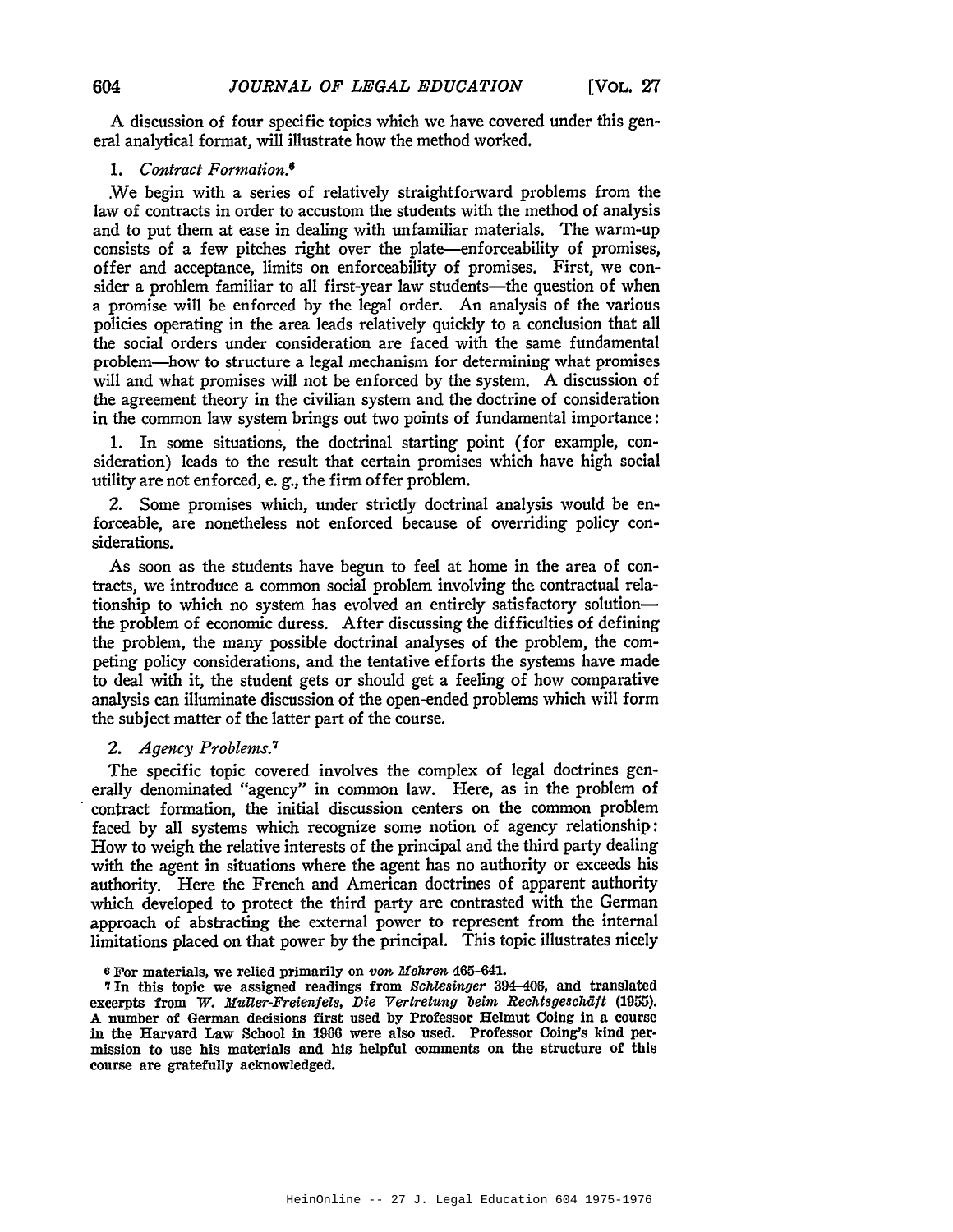A discussion of four specific topics which we have covered under this general analytical format, will illustrate how the method worked.

#### 1. Contract Formation.<sup>6</sup>

We begin with a series of relatively straightforward problems from the law of contracts in order to accustom the students with the method of analysis and to put them at ease in dealing with unfamiliar materials. The warm-up consists of a few pitches right over the plate—enforceability of promises, offer and acceptance, limits on enforceability of promises. First, we consider a problem familiar to all first-year law students—the question of when a promise will be enforced by the legal order. An analysis of the various policies operating in the area leads relatively quickly to a conclusion that all the social orders under consideration are faced with the same fundamental problem—how to structure a legal mechanism for determining what promises will and what promises will not be enforced by the system. A discussion of the agreement theory in the civilian system and the doctrine of consideration in the common law system brings out two points of fundamental importance:

1. In some situations, the doctrinal starting point (for example, consideration) leads to the result that certain promises which have high social utility are not enforced, e.g., the firm offer problem.

2. Some promises which, under strictly doctrinal analysis would be enforceable, are nonetheless not enforced because of overriding policy considerations.

As soon as the students have begun to feel at home in the area of contracts, we introduce a common social problem involving the contractual relationship to which no system has evolved an entirely satisfactory solutionthe problem of economic duress. After discussing the difficulties of defining the problem, the many possible doctrinal analyses of the problem, the competing policy considerations, and the tentative efforts the systems have made to deal with it, the student gets or should get a feeling of how comparative analysis can illuminate discussion of the open-ended problems which will form the subject matter of the latter part of the course.

#### 2. Agency Problems.<sup>7</sup>

The specific topic covered involves the complex of legal doctrines generally denominated "agency" in common law. Here, as in the problem of contract formation, the initial discussion centers on the common problem faced by all systems which recognize some notion of agency relationship: How to weigh the relative interests of the principal and the third party dealing with the agent in situations where the agent has no authority or exceeds his authority. Here the French and American doctrines of apparent authority which developed to protect the third party are contrasted with the German approach of abstracting the external power to represent from the internal limitations placed on that power by the principal. This topic illustrates nicely

7 In this topic we assigned readings from Schlesinger 394-406, and translated excerpts from W. Muller-Freienfels, Die Vertretung beim Rechtsgeschäft (1955). A number of German decisions first used by Professor Helmut Coing in a course in the Harvard Law School in 1966 were also used. Professor Coing's kind permission to use his materials and his helpful comments on the structure of this course are gratefully acknowledged.

<sup>6</sup> For materials, we relied primarily on von Mehren 465-641.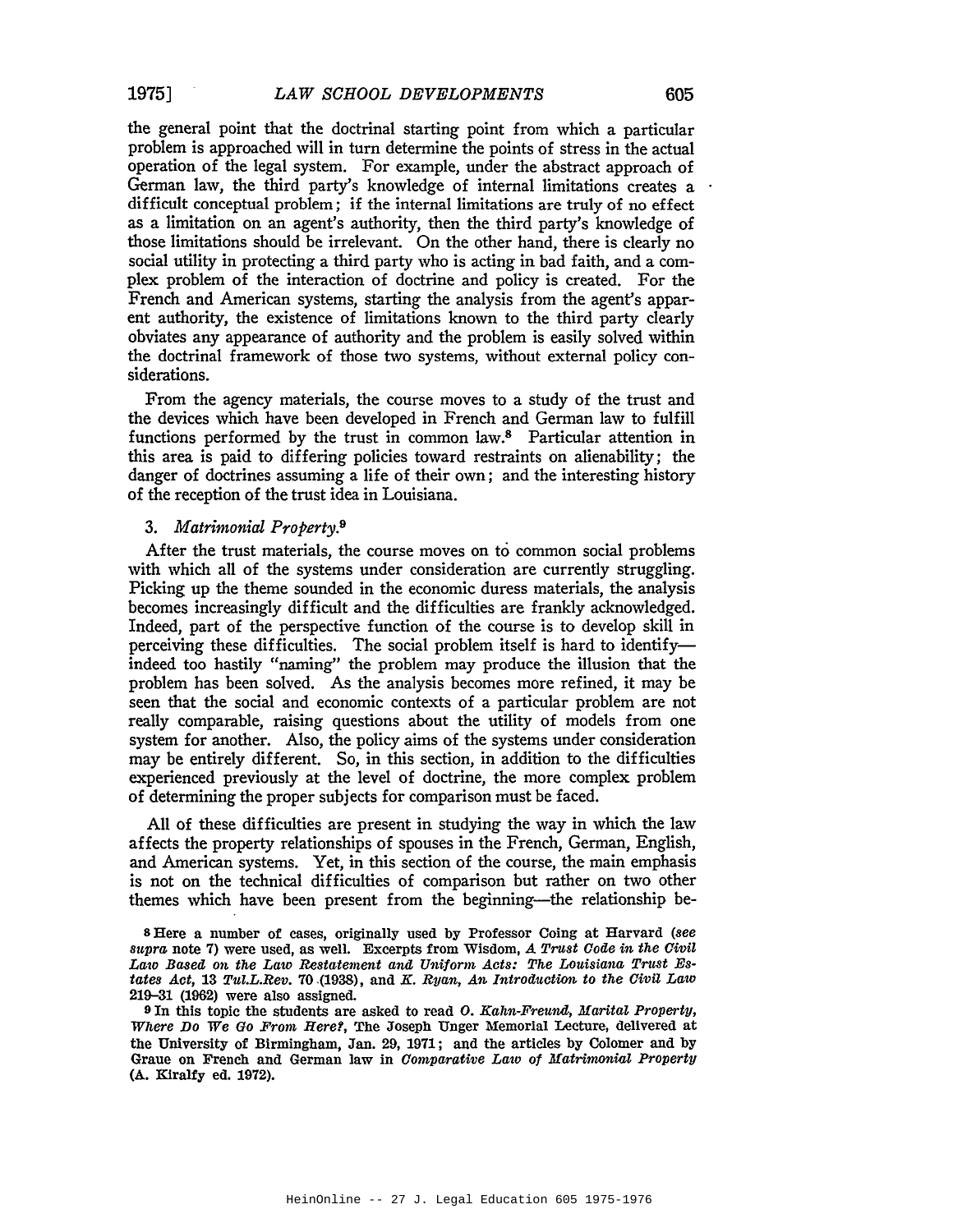the general point that the doctrinal starting point from which a particular problem is approached will in turn determine the points of stress in the actual operation of the legal system. For example, under the abstract approach of German law, the third party's knowledge of internal limitations creates a difficult conceptual problem; if the internal limitations are truly of no effect as a limitation on an agent's authority, then the third party's knowledge of those limitations should be irrelevant. On the other hand, there is clearly no social utility in protecting a third party who is acting in bad faith, and a complex problem of the interaction of doctrine and policy is created. For the French and American systems, starting the analysis from the agent's apparent authority, the existence of limitations known to the third party clearly obviates any appearance of authority and the problem is easily solved within the doctrinal framework of those two systems, without external policy considerations.

From the agency materials, the course moves to a study of the trust and the devices which have been developed in French and German law to fulfill functions performed by the trust in common law.<sup>8</sup> Particular attention in this area is paid to differing policies toward restraints on alienability; the danger of doctrines assuming a life of their own; and the interesting history of the reception of the trust idea in Louisiana.

### 3. Matrimonial Property.<sup>9</sup>

After the trust materials, the course moves on to common social problems with which all of the systems under consideration are currently struggling. Picking up the theme sounded in the economic duress materials, the analysis becomes increasingly difficult and the difficulties are frankly acknowledged. Indeed, part of the perspective function of the course is to develop skill in perceiving these difficulties. The social problem itself is hard to identifyindeed too hastily "naming" the problem may produce the illusion that the problem has been solved. As the analysis becomes more refined, it may be seen that the social and economic contexts of a particular problem are not really comparable, raising questions about the utility of models from one system for another. Also, the policy aims of the systems under consideration may be entirely different. So, in this section, in addition to the difficulties experienced previously at the level of doctrine, the more complex problem of determining the proper subjects for comparison must be faced.

All of these difficulties are present in studying the way in which the law affects the property relationships of spouses in the French, German, English, and American systems. Yet, in this section of the course, the main emphasis is not on the technical difficulties of comparison but rather on two other themes which have been present from the beginning—the relationship be-

8 Here a number of cases, originally used by Professor Coing at Harvard (see supra note 7) were used, as well. Excerpts from Wisdom, A Trust Code in the Civil Law Based on the Law Restatement and Uniform Acts: The Louisiana Trust Estates Act, 13 Tul.L.Rev. 70 (1938), and K. Ryan, An Introduction to the Civil Law  $219-31$  (1962) were also assigned.

9 In this topic the students are asked to read O. Kahn-Freund, Marital Property, Where Do We Go From Here?, The Joseph Unger Memorial Lecture, delivered at the University of Birmingham, Jan. 29, 1971; and the articles by Colomer and by Graue on French and German law in Comparative Law of Matrimonial Property (A. Kiralfy ed. 1972).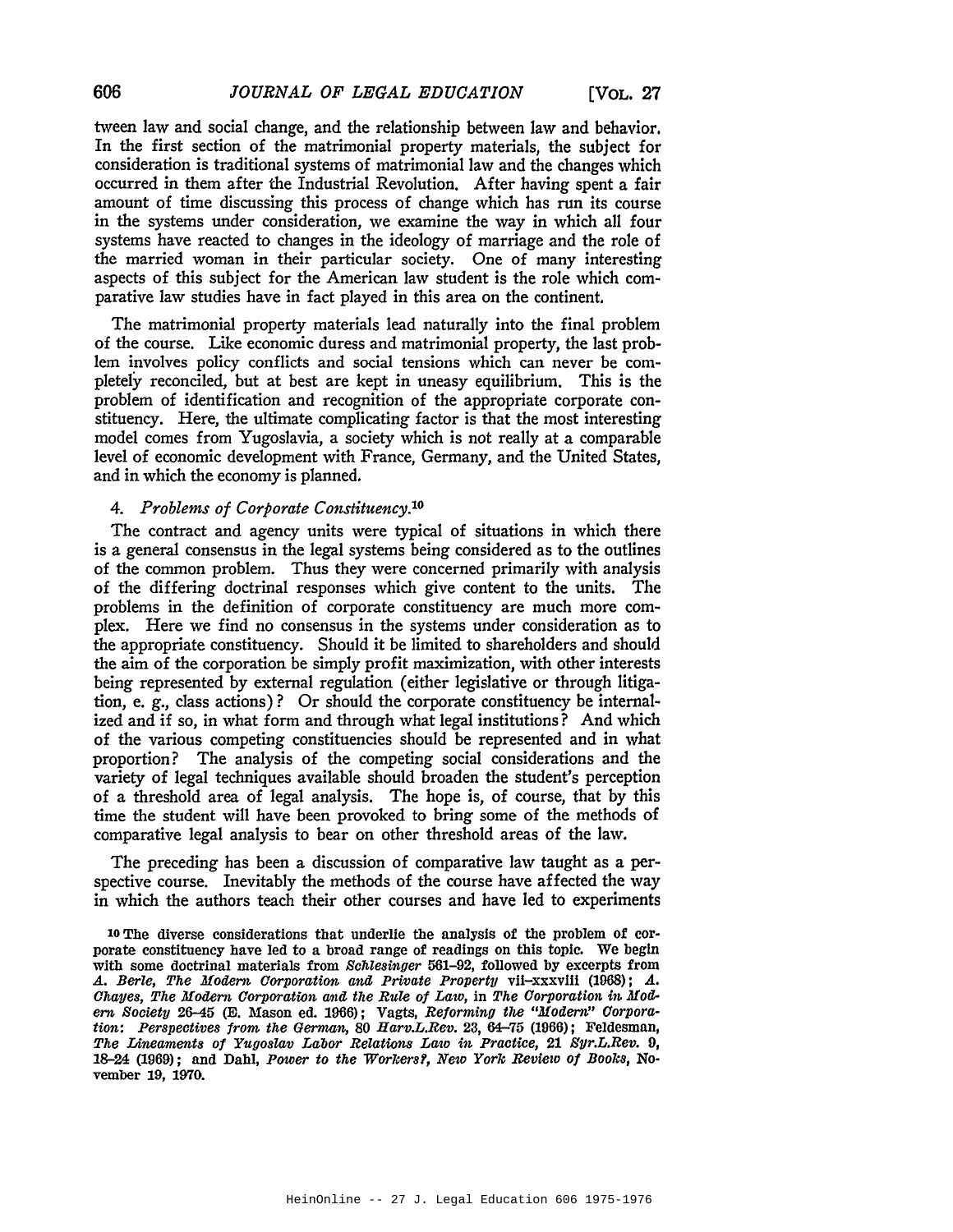tween law and social change, and the relationship between law and behavior. In the first section of the matrimonial property materials, the subject for consideration is traditional systems of matrimonial law and the changes which occurred in them after the Industrial Revolution. After having spent a fair amount of time discussing this process of change which has run its course in the systems under consideration, we examine the way in which all four systems have reacted to changes in the ideology of marriage and the role of the married woman in their particular society. One of many interesting aspects of this subject for the American law student is the role which comparative law studies have in fact played in this area on the continent.

The matrimonial property materials lead naturally into the final problem of the course. Like economic duress and matrimonial property, the last problem involves policy conflicts and social tensions which can never be completely reconciled, but at best are kept in uneasy equilibrium. This is the problem of identification and recognition of the appropriate corporate constituency. Here, the ultimate complicating factor is that the most interesting model comes from Yugoslavia, a society which is not really at a comparable level of economic development with France, Germany, and the United States, and in which the economy is planned.

#### 4. Problems of Corporate Constituency.<sup>10</sup>

The contract and agency units were typical of situations in which there is a general consensus in the legal systems being considered as to the outlines of the common problem. Thus they were concerned primarily with analysis of the differing doctrinal responses which give content to the units. The problems in the definition of corporate constituency are much more complex. Here we find no consensus in the systems under consideration as to the appropriate constituency. Should it be limited to shareholders and should the aim of the corporation be simply profit maximization, with other interests being represented by external regulation (either legislative or through litigation, e. g., class actions)? Or should the corporate constituency be internalized and if so, in what form and through what legal institutions? And which of the various competing constituencies should be represented and in what proportion? The analysis of the competing social considerations and the variety of legal techniques available should broaden the student's perception of a threshold area of legal analysis. The hope is, of course, that by this time the student will have been provoked to bring some of the methods of comparative legal analysis to bear on other threshold areas of the law.

The preceding has been a discussion of comparative law taught as a perspective course. Inevitably the methods of the course have affected the way in which the authors teach their other courses and have led to experiments

<sup>10</sup> The diverse considerations that underlie the analysis of the problem of corporate constituency have led to a broad range of readings on this topic. We begin with some doctrinal materials from Schlesinger 561-92, followed by excerpts from A. Berle, The Modern Corporation and Private Property vii-xxxviii (1968); A. Chayes, The Modern Corporation and the Rule of Law, in The Corporation in Modern Society 26-45 (E. Mason ed. 1966); Vagts, Reforming the "Modern" Corporation: Perspectives from the German, 80 Harv.L.Rev. 23, 64-75 (1966); Feldesman, The Lineaments of Yugoslav Labor Relations Law in Practice, 21 Syr.L.Rev. 9, 18-24 (1969); and Dahl, Power to the Workers?, New York Review of Books, November 19, 1970.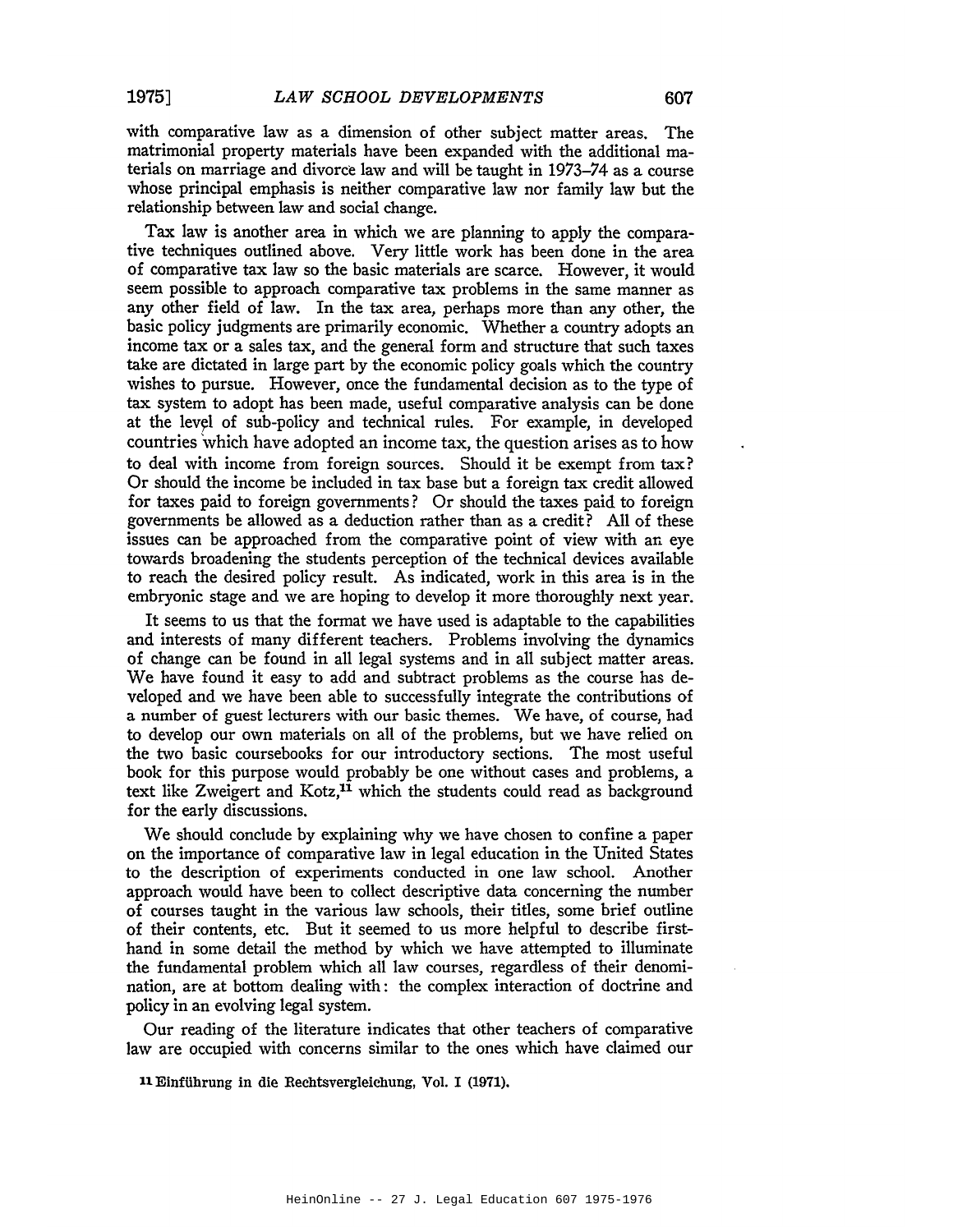with comparative law as a dimension of other subject matter areas. The matrimonial property materials have been expanded with the additional materials on marriage and divorce law and will be taught in 1973–74 as a course whose principal emphasis is neither comparative law nor family law but the relationship between law and social change.

Tax law is another area in which we are planning to apply the comparative techniques outlined above. Very little work has been done in the area of comparative tax law so the basic materials are scarce. However, it would seem possible to approach comparative tax problems in the same manner as any other field of law. In the tax area, perhaps more than any other, the basic policy judgments are primarily economic. Whether a country adopts an income tax or a sales tax, and the general form and structure that such taxes take are dictated in large part by the economic policy goals which the country wishes to pursue. However, once the fundamental decision as to the type of tax system to adopt has been made, useful comparative analysis can be done at the level of sub-policy and technical rules. For example, in developed countries which have adopted an income tax, the question arises as to how to deal with income from foreign sources. Should it be exempt from tax? Or should the income be included in tax base but a foreign tax credit allowed for taxes paid to foreign governments? Or should the taxes paid to foreign governments be allowed as a deduction rather than as a credit? All of these issues can be approached from the comparative point of view with an eye towards broadening the students perception of the technical devices available to reach the desired policy result. As indicated, work in this area is in the embryonic stage and we are hoping to develop it more thoroughly next year.

It seems to us that the format we have used is adaptable to the capabilities and interests of many different teachers. Problems involving the dynamics of change can be found in all legal systems and in all subject matter areas. We have found it easy to add and subtract problems as the course has developed and we have been able to successfully integrate the contributions of a number of guest lecturers with our basic themes. We have, of course, had to develop our own materials on all of the problems, but we have relied on the two basic coursebooks for our introductory sections. The most useful book for this purpose would probably be one without cases and problems, a text like Zweigert and Kotz,<sup>11</sup> which the students could read as background for the early discussions.

We should conclude by explaining why we have chosen to confine a paper on the importance of comparative law in legal education in the United States to the description of experiments conducted in one law school. Another approach would have been to collect descriptive data concerning the number of courses taught in the various law schools, their titles, some brief outline of their contents, etc. But it seemed to us more helpful to describe firsthand in some detail the method by which we have attempted to illuminate the fundamental problem which all law courses, regardless of their denomination, are at bottom dealing with: the complex interaction of doctrine and policy in an evolving legal system.

Our reading of the literature indicates that other teachers of comparative law are occupied with concerns similar to the ones which have claimed our

<sup>11</sup> Einführung in die Rechtsvergleichung, Vol. I (1971).